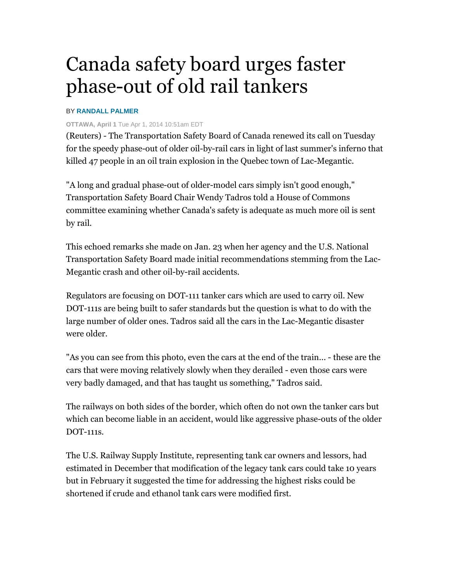## Canada safety board urges faster phase-out of old rail tankers

## BY **RANDALL PALMER**

## **OTTAWA, April 1** Tue Apr 1, 2014 10:51am EDT

(Reuters) - The Transportation Safety Board of Canada renewed its call on Tuesday for the speedy phase-out of older oil-by-rail cars in light of last summer's inferno that killed 47 people in an oil train explosion in the Quebec town of Lac-Megantic.

"A long and gradual phase-out of older-model cars simply isn't good enough," Transportation Safety Board Chair Wendy Tadros told a House of Commons committee examining whether Canada's safety is adequate as much more oil is sent by rail.

This echoed remarks she made on Jan. 23 when her agency and the U.S. National Transportation Safety Board made initial recommendations stemming from the Lac-Megantic crash and other oil-by-rail accidents.

Regulators are focusing on DOT-111 tanker cars which are used to carry oil. New DOT-111s are being built to safer standards but the question is what to do with the large number of older ones. Tadros said all the cars in the Lac-Megantic disaster were older.

"As you can see from this photo, even the cars at the end of the train... - these are the cars that were moving relatively slowly when they derailed - even those cars were very badly damaged, and that has taught us something," Tadros said.

The railways on both sides of the border, which often do not own the tanker cars but which can become liable in an accident, would like aggressive phase-outs of the older DOT-111s.

The U.S. Railway Supply Institute, representing tank car owners and lessors, had estimated in December that modification of the legacy tank cars could take 10 years but in February it suggested the time for addressing the highest risks could be shortened if crude and ethanol tank cars were modified first.